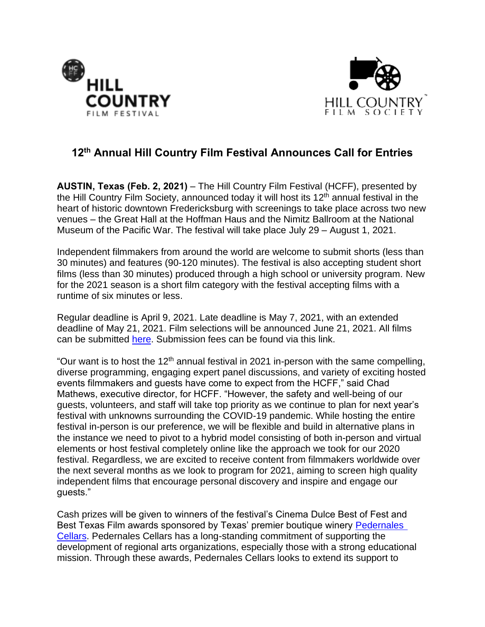



## **12 th Annual Hill Country Film Festival Announces Call for Entries**

**AUSTIN, Texas (Feb. 2, 2021)** – The Hill Country Film Festival (HCFF), presented by the Hill Country Film Society, announced today it will host its 12<sup>th</sup> annual festival in the heart of historic downtown Fredericksburg with screenings to take place across two new venues – the Great Hall at the Hoffman Haus and the Nimitz Ballroom at the National Museum of the Pacific War. The festival will take place July 29 – August 1, 2021.

Independent filmmakers from around the world are welcome to submit shorts (less than 30 minutes) and features (90-120 minutes). The festival is also accepting student short films (less than 30 minutes) produced through a high school or university program. New for the 2021 season is a short film category with the festival accepting films with a runtime of six minutes or less.

Regular deadline is April 9, 2021. Late deadline is May 7, 2021, with an extended deadline of May 21, 2021. Film selections will be announced June 21, 2021. All films can be submitted [here.](http://www.hillcountryff.com/festival/submissions-3/) Submission fees can be found via this link.

"Our want is to host the 12<sup>th</sup> annual festival in 2021 in-person with the same compelling, diverse programming, engaging expert panel discussions, and variety of exciting hosted events filmmakers and guests have come to expect from the HCFF," said Chad Mathews, executive director, for HCFF. "However, the safety and well-being of our guests, volunteers, and staff will take top priority as we continue to plan for next year's festival with unknowns surrounding the COVID-19 pandemic. While hosting the entire festival in-person is our preference, we will be flexible and build in alternative plans in the instance we need to pivot to a hybrid model consisting of both in-person and virtual elements or host festival completely online like the approach we took for our 2020 festival. Regardless, we are excited to receive content from filmmakers worldwide over the next several months as we look to program for 2021, aiming to screen high quality independent films that encourage personal discovery and inspire and engage our guests."

Cash prizes will be given to winners of the festival's Cinema Dulce Best of Fest and Best Texas Film awards sponsored by Texas' premier boutique winery [Pedernales](https://www.pedernalescellars.com/) [Cellars.](https://www.pedernalescellars.com/) Pedernales Cellars has a long-standing commitment of supporting the development of regional arts organizations, especially those with a strong educational mission. Through these awards, Pedernales Cellars looks to extend its support to